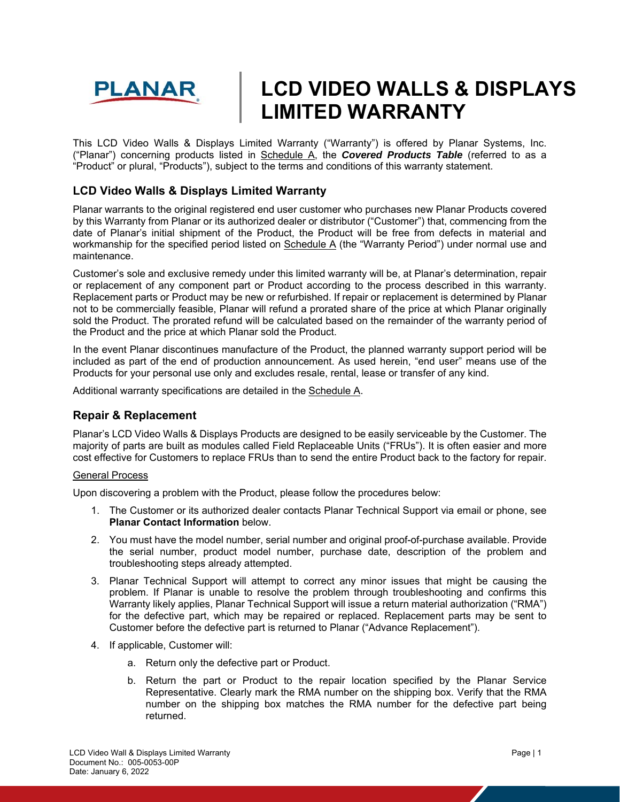

# **LCD VIDEO WALLS & DISPLAYS LIMITED WARRANTY**

This LCD Video Walls & Displays Limited Warranty ("Warranty") is offered by Planar Systems, Inc. ("Planar") concerning products listed in Schedule A, the *Covered Products Table* (referred to as a "Product" or plural, "Products"), subject to the terms and conditions of this warranty statement.

# **LCD Video Walls & Displays Limited Warranty**

Planar warrants to the original registered end user customer who purchases new Planar Products covered by this Warranty from Planar or its authorized dealer or distributor ("Customer") that, commencing from the date of Planar's initial shipment of the Product, the Product will be free from defects in material and workmanship for the specified period listed on Schedule A (the "Warranty Period") under normal use and maintenance.

Customer's sole and exclusive remedy under this limited warranty will be, at Planar's determination, repair or replacement of any component part or Product according to the process described in this warranty. Replacement parts or Product may be new or refurbished. If repair or replacement is determined by Planar not to be commercially feasible, Planar will refund a prorated share of the price at which Planar originally sold the Product. The prorated refund will be calculated based on the remainder of the warranty period of the Product and the price at which Planar sold the Product.

In the event Planar discontinues manufacture of the Product, the planned warranty support period will be included as part of the end of production announcement. As used herein, "end user" means use of the Products for your personal use only and excludes resale, rental, lease or transfer of any kind.

Additional warranty specifications are detailed in the Schedule A.

## **Repair & Replacement**

Planar's LCD Video Walls & Displays Products are designed to be easily serviceable by the Customer. The majority of parts are built as modules called Field Replaceable Units ("FRUs"). It is often easier and more cost effective for Customers to replace FRUs than to send the entire Product back to the factory for repair.

#### General Process

Upon discovering a problem with the Product, please follow the procedures below:

- 1. The Customer or its authorized dealer contacts Planar Technical Support via email or phone, see **Planar Contact Information** below.
- 2. You must have the model number, serial number and original proof-of-purchase available. Provide the serial number, product model number, purchase date, description of the problem and troubleshooting steps already attempted.
- 3. Planar Technical Support will attempt to correct any minor issues that might be causing the problem. If Planar is unable to resolve the problem through troubleshooting and confirms this Warranty likely applies, Planar Technical Support will issue a return material authorization ("RMA") for the defective part, which may be repaired or replaced. Replacement parts may be sent to Customer before the defective part is returned to Planar ("Advance Replacement").
- 4. If applicable, Customer will:
	- a. Return only the defective part or Product.
	- b. Return the part or Product to the repair location specified by the Planar Service Representative. Clearly mark the RMA number on the shipping box. Verify that the RMA number on the shipping box matches the RMA number for the defective part being returned.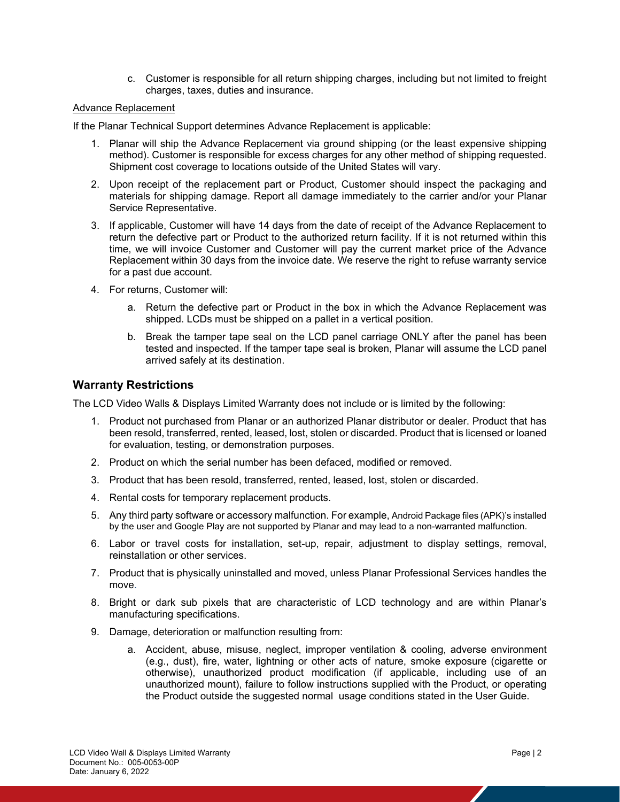c. Customer is responsible for all return shipping charges, including but not limited to freight charges, taxes, duties and insurance.

#### Advance Replacement

If the Planar Technical Support determines Advance Replacement is applicable:

- 1. Planar will ship the Advance Replacement via ground shipping (or the least expensive shipping method). Customer is responsible for excess charges for any other method of shipping requested. Shipment cost coverage to locations outside of the United States will vary.
- 2. Upon receipt of the replacement part or Product, Customer should inspect the packaging and materials for shipping damage. Report all damage immediately to the carrier and/or your Planar Service Representative.
- 3. If applicable, Customer will have 14 days from the date of receipt of the Advance Replacement to return the defective part or Product to the authorized return facility. If it is not returned within this time, we will invoice Customer and Customer will pay the current market price of the Advance Replacement within 30 days from the invoice date. We reserve the right to refuse warranty service for a past due account.
- 4. For returns, Customer will:
	- a. Return the defective part or Product in the box in which the Advance Replacement was shipped. LCDs must be shipped on a pallet in a vertical position.
	- b. Break the tamper tape seal on the LCD panel carriage ONLY after the panel has been tested and inspected. If the tamper tape seal is broken, Planar will assume the LCD panel arrived safely at its destination.

#### **Warranty Restrictions**

The LCD Video Walls & Displays Limited Warranty does not include or is limited by the following:

- 1. Product not purchased from Planar or an authorized Planar distributor or dealer. Product that has been resold, transferred, rented, leased, lost, stolen or discarded. Product that is licensed or loaned for evaluation, testing, or demonstration purposes.
- 2. Product on which the serial number has been defaced, modified or removed.
- 3. Product that has been resold, transferred, rented, leased, lost, stolen or discarded.
- 4. Rental costs for temporary replacement products.
- 5. Any third party software or accessory malfunction. For example, Android Package files (APK)'s installed by the user and Google Play are not supported by Planar and may lead to a non-warranted malfunction.
- 6. Labor or travel costs for installation, set-up, repair, adjustment to display settings, removal, reinstallation or other services.
- 7. Product that is physically uninstalled and moved, unless Planar Professional Services handles the move.
- 8. Bright or dark sub pixels that are characteristic of LCD technology and are within Planar's manufacturing specifications.
- 9. Damage, deterioration or malfunction resulting from:
	- a. Accident, abuse, misuse, neglect, improper ventilation & cooling, adverse environment (e.g., dust), fire, water, lightning or other acts of nature, smoke exposure (cigarette or otherwise), unauthorized product modification (if applicable, including use of an unauthorized mount), failure to follow instructions supplied with the Product, or operating the Product outside the suggested normal usage conditions stated in the User Guide.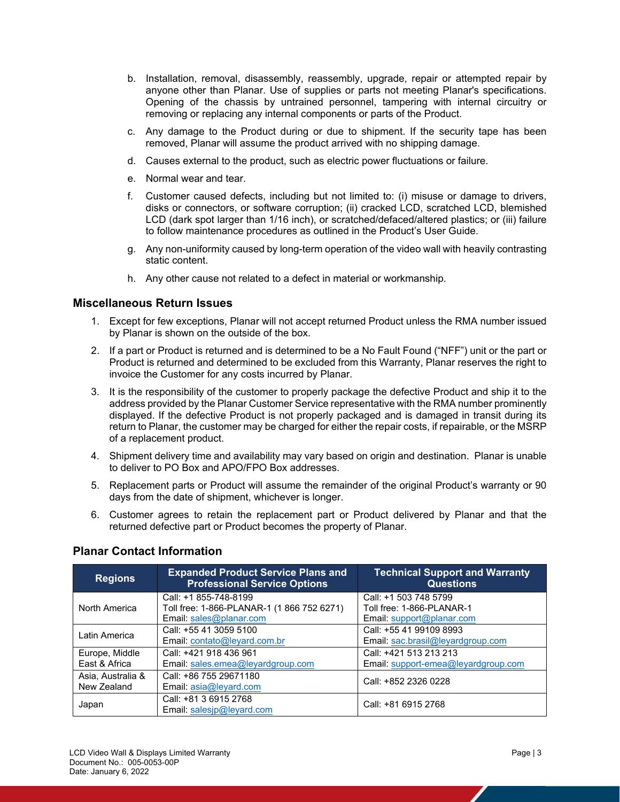- b. Installation, removal, disassembly, reassembly, upgrade, repair or attempted repair by anyone other than Planar. Use of supplies or parts not meeting Planar's specifications. Opening of the chassis by untrained personnel, tampering with internal circuitry or removing or replacing any internal components or parts of the Product.
- c. Any damage to the Product during or due to shipment. If the security tape has been removed, Planar will assume the product arrived with no shipping damage.
- d. Causes external to the product, such as electric power fluctuations or failure.
- e. Normal wear and tear.
- f. Customer caused defects, including but not limited to: (i) misuse or damage to drivers, disks or connectors, or software corruption; (ii) cracked LCD, scratched LCD, blemished LCD (dark spot larger than 1/16 inch), or scratched/defaced/altered plastics; or (iii) failure to follow maintenance procedures as outlined in the Product's User Guide.
- g. Any non-uniformity caused by long-term operation of the video wall with heavily contrasting static content.
- h. Any other cause not related to a defect in material or workmanship.

#### **Miscellaneous Return Issues**

- 1. Except for few exceptions, Planar will not accept returned Product unless the RMA number issued by Planar is shown on the outside of the box.
- 2. If a part or Product is returned and is determined to be a No Fault Found ("NFF") unit or the part or Product is returned and determined to be excluded from this Warranty, Planar reserves the right to invoice the Customer for any costs incurred by Planar.
- 3. It is the responsibility of the customer to properly package the defective Product and ship it to the address provided by the Planar Customer Service representative with the RMA number prominently displayed. If the defective Product is not properly packaged and is damaged in transit during its return to Planar, the customer may be charged for either the repair costs, if repairable, or the MSRP of a replacement product.
- 4. Shipment delivery time and availability may vary based on origin and destination. Planar is unable to deliver to PO Box and APO/FPO Box addresses.
- 5. Replacement parts or Product will assume the remainder of the original Product's warranty or 90 days from the date of shipment, whichever is longer.
- 6. Customer agrees to retain the replacement part or Product delivered by Planar and that the returned defective part or Product becomes the property of Planar.

| <b>Regions</b>    | <b>Expanded Product Service Plans and</b><br><b>Professional Service Options</b> | <b>Technical Support and Warranty</b><br><b>Questions</b> |  |
|-------------------|----------------------------------------------------------------------------------|-----------------------------------------------------------|--|
| North America     | Call: +1 855-748-8199                                                            | Call: +1 503 748 5799                                     |  |
|                   | Toll free: 1-866-PLANAR-1 (1 866 752 6271)                                       | Toll free: 1-866-PLANAR-1                                 |  |
|                   | Email: sales@planar.com                                                          | Email: $support@planar.com$                               |  |
| Latin America     | Call: +55 41 3059 5100                                                           | Call: +55 41 99109 8993                                   |  |
|                   | Email: contato@leyard.com.br                                                     | Email: sac.brasil@leyardgroup.com                         |  |
| Europe, Middle    | Call: +421 918 436 961                                                           | Call: +421 513 213 213                                    |  |
| East & Africa     | Email: sales.emea@leyardgroup.com                                                | Email: support-emea@leyardgroup.com                       |  |
| Asia, Australia & | Call: +86 755 29671180                                                           | Call: +852 2326 0228                                      |  |
| New Zealand       | Email: asia@leyard.com                                                           |                                                           |  |
| Japan             | Call: +81 3 6915 2768                                                            | Call: +81 6915 2768                                       |  |
|                   | Email: salesjp@leyard.com                                                        |                                                           |  |

# **Planar Contact Information**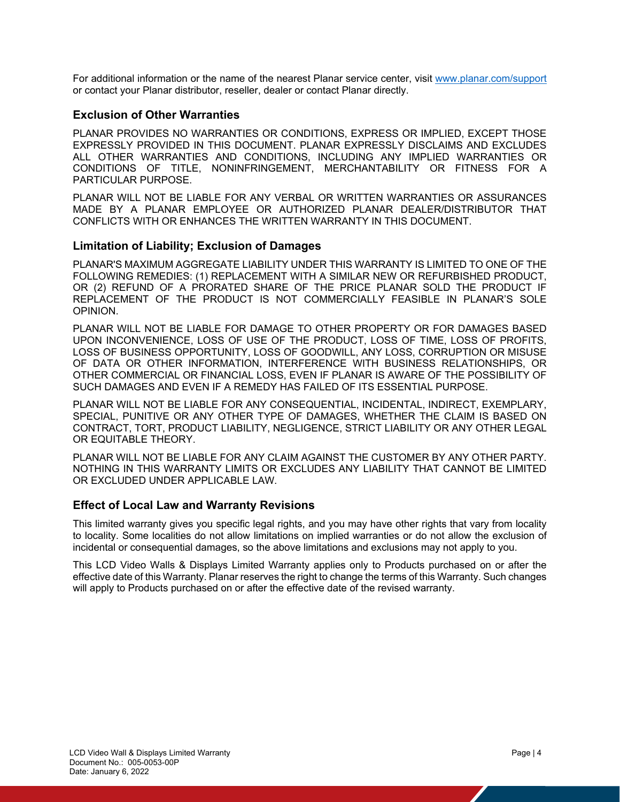For additional information or the name of the nearest Planar service center, visit www.planar.com/support or contact your Planar distributor, reseller, dealer or contact Planar directly.

## **Exclusion of Other Warranties**

PLANAR PROVIDES NO WARRANTIES OR CONDITIONS, EXPRESS OR IMPLIED, EXCEPT THOSE EXPRESSLY PROVIDED IN THIS DOCUMENT. PLANAR EXPRESSLY DISCLAIMS AND EXCLUDES ALL OTHER WARRANTIES AND CONDITIONS, INCLUDING ANY IMPLIED WARRANTIES OR CONDITIONS OF TITLE, NONINFRINGEMENT, MERCHANTABILITY OR FITNESS FOR A PARTICULAR PURPOSE.

PLANAR WILL NOT BE LIABLE FOR ANY VERBAL OR WRITTEN WARRANTIES OR ASSURANCES MADE BY A PLANAR EMPLOYEE OR AUTHORIZED PLANAR DEALER/DISTRIBUTOR THAT CONFLICTS WITH OR ENHANCES THE WRITTEN WARRANTY IN THIS DOCUMENT.

## **Limitation of Liability; Exclusion of Damages**

PLANAR'S MAXIMUM AGGREGATE LIABILITY UNDER THIS WARRANTY IS LIMITED TO ONE OF THE FOLLOWING REMEDIES: (1) REPLACEMENT WITH A SIMILAR NEW OR REFURBISHED PRODUCT, OR (2) REFUND OF A PRORATED SHARE OF THE PRICE PLANAR SOLD THE PRODUCT IF REPLACEMENT OF THE PRODUCT IS NOT COMMERCIALLY FEASIBLE IN PLANAR'S SOLE OPINION.

PLANAR WILL NOT BE LIABLE FOR DAMAGE TO OTHER PROPERTY OR FOR DAMAGES BASED UPON INCONVENIENCE, LOSS OF USE OF THE PRODUCT, LOSS OF TIME, LOSS OF PROFITS, LOSS OF BUSINESS OPPORTUNITY, LOSS OF GOODWILL, ANY LOSS, CORRUPTION OR MISUSE OF DATA OR OTHER INFORMATION, INTERFERENCE WITH BUSINESS RELATIONSHIPS, OR OTHER COMMERCIAL OR FINANCIAL LOSS, EVEN IF PLANAR IS AWARE OF THE POSSIBILITY OF SUCH DAMAGES AND EVEN IF A REMEDY HAS FAILED OF ITS ESSENTIAL PURPOSE.

PLANAR WILL NOT BE LIABLE FOR ANY CONSEQUENTIAL, INCIDENTAL, INDIRECT, EXEMPLARY, SPECIAL, PUNITIVE OR ANY OTHER TYPE OF DAMAGES, WHETHER THE CLAIM IS BASED ON CONTRACT, TORT, PRODUCT LIABILITY, NEGLIGENCE, STRICT LIABILITY OR ANY OTHER LEGAL OR EQUITABLE THEORY.

PLANAR WILL NOT BE LIABLE FOR ANY CLAIM AGAINST THE CUSTOMER BY ANY OTHER PARTY. NOTHING IN THIS WARRANTY LIMITS OR EXCLUDES ANY LIABILITY THAT CANNOT BE LIMITED OR EXCLUDED UNDER APPLICABLE LAW.

## **Effect of Local Law and Warranty Revisions**

This limited warranty gives you specific legal rights, and you may have other rights that vary from locality to locality. Some localities do not allow limitations on implied warranties or do not allow the exclusion of incidental or consequential damages, so the above limitations and exclusions may not apply to you.

This LCD Video Walls & Displays Limited Warranty applies only to Products purchased on or after the effective date of this Warranty. Planar reserves the right to change the terms of this Warranty. Such changes will apply to Products purchased on or after the effective date of the revised warranty.